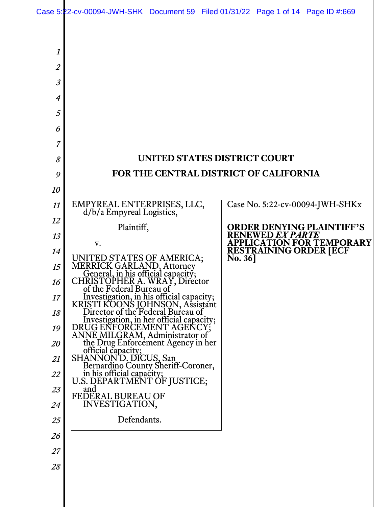Case 5:22-cv-00094-JWH-SHK Document 59 Filed 01/31/22 Page 1 of 14 Page ID #:669

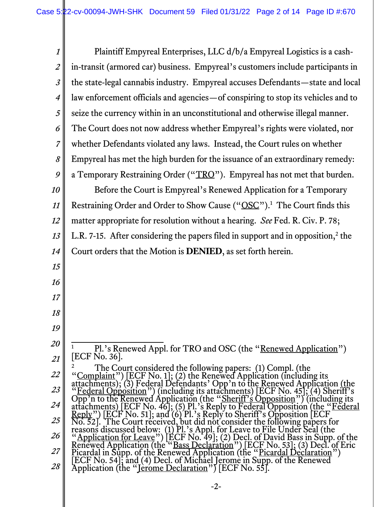| $\boldsymbol{\mathit{1}}$ | Plaintiff Empyreal Enterprises, LLC d/b/a Empyreal Logistics is a cash-                                                                                                                                                             |
|---------------------------|-------------------------------------------------------------------------------------------------------------------------------------------------------------------------------------------------------------------------------------|
| $\overline{2}$            | in-transit (armored car) business. Empyreal's customers include participants in                                                                                                                                                     |
| $\mathfrak{Z}$            | the state-legal cannabis industry. Empyreal accuses Defendants—state and local                                                                                                                                                      |
| $\boldsymbol{4}$          | law enforcement officials and agencies—of conspiring to stop its vehicles and to                                                                                                                                                    |
| 5                         | seize the currency within in an unconstitutional and otherwise illegal manner.                                                                                                                                                      |
| 6                         | The Court does not now address whether Empyreal's rights were violated, nor                                                                                                                                                         |
| $\overline{7}$            | whether Defendants violated any laws. Instead, the Court rules on whether                                                                                                                                                           |
| $\boldsymbol{\delta}$     | Empyreal has met the high burden for the issuance of an extraordinary remedy:                                                                                                                                                       |
| 9                         | a Temporary Restraining Order ("TRO"). Empyreal has not met that burden.                                                                                                                                                            |
| 10                        | Before the Court is Empyreal's Renewed Application for a Temporary                                                                                                                                                                  |
| 11                        | Restraining Order and Order to Show Cause ("OSC"). <sup>1</sup> The Court finds this                                                                                                                                                |
| 12                        | matter appropriate for resolution without a hearing. See Fed. R. Civ. P. 78;                                                                                                                                                        |
| 13                        | L.R. 7-15. After considering the papers filed in support and in opposition, <sup>2</sup> the                                                                                                                                        |
| 14                        | Court orders that the Motion is DENIED, as set forth herein.                                                                                                                                                                        |
| 15                        |                                                                                                                                                                                                                                     |
| 16                        |                                                                                                                                                                                                                                     |
| 17                        |                                                                                                                                                                                                                                     |
| 18                        |                                                                                                                                                                                                                                     |
| 19                        |                                                                                                                                                                                                                                     |
| 20                        | $\mathbf{1}$<br>Pl.'s Renewed Appl. for TRO and OSC (the "Renewed Application")                                                                                                                                                     |
| 21                        | [ECF No. 36].                                                                                                                                                                                                                       |
| 22                        |                                                                                                                                                                                                                                     |
| 23                        |                                                                                                                                                                                                                                     |
| 24                        |                                                                                                                                                                                                                                     |
| 25                        |                                                                                                                                                                                                                                     |
| 26                        | Fract Too. 301.<br>The Court considered the following papers: (1) Compl. (the<br>"Complaint") [ECF No. 1]; (2) the Renewed Application (including its<br>attachments); (3) Federal Defendants' Opp' n to the Renewed Application (t |
| 27                        |                                                                                                                                                                                                                                     |
| 28                        |                                                                                                                                                                                                                                     |
|                           | -2-                                                                                                                                                                                                                                 |

║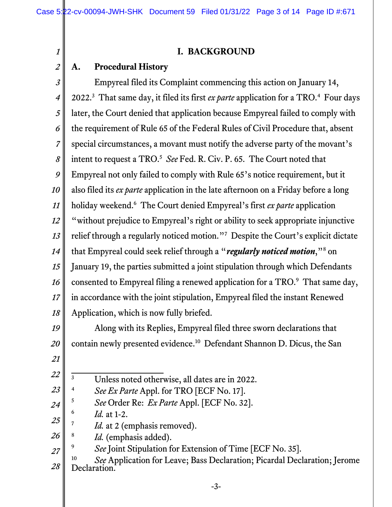### **I. BACKGROUND**

#### *2* **A. Procedural History**

*1*

*3 4 5 6 7 8 9 10 11 12 13 14 15 16 17 18* Empyreal filed its Complaint commencing this action on January 14, 2022.<sup>3</sup> That same day, it filed its first *ex parte* application for a TRO.<sup>4</sup> Four days later, the Court denied that application because Empyreal failed to comply with the requirement of Rule 65 of the Federal Rules of Civil Procedure that, absent special circumstances, a movant must notify the adverse party of the movant's intent to request a TRO.<sup>5</sup> See Fed. R. Civ. P. 65. The Court noted that Empyreal not only failed to comply with Rule 65's notice requirement, but it also filed its *ex parte* application in the late afternoon on a Friday before a long holiday weekend.6 The Court denied Empyreal's first *ex parte* application "without prejudice to Empyreal's right or ability to seek appropriate injunctive relief through a regularly noticed motion."7 Despite the Court's explicit dictate that Empyreal could seek relief through a "*regularly noticed motion*,"<sup>8</sup> on January 19, the parties submitted a joint stipulation through which Defendants consented to Empyreal filing a renewed application for a TRO.<sup>9</sup> That same day, in accordance with the joint stipulation, Empyreal filed the instant Renewed Application, which is now fully briefed.

*19 20 21* Along with its Replies, Empyreal filed three sworn declarations that contain newly presented evidence.10 Defendant Shannon D. Dicus, the San

*23*

*<sup>22</sup>* 3 Unless noted otherwise, all dates are in 2022.

<sup>4</sup> *See Ex Parte* Appl. for TRO [ECF No. 17].

*<sup>24</sup>* <sup>5</sup> *See* Order Re: *Ex Parte* Appl. [ECF No. 32].

<sup>6</sup> *Id.* at 1-2.

*<sup>25</sup>* <sup>7</sup> *Id.* at 2 (emphasis removed).

*<sup>26</sup>* <sup>8</sup> *Id.* (emphasis added).

*<sup>27</sup>* See Joint Stipulation for Extension of Time [ECF No. 35].

*<sup>28</sup>* <sup>10</sup> *See* Application for Leave; Bass Declaration; Picardal Declaration; Jerome Declaration.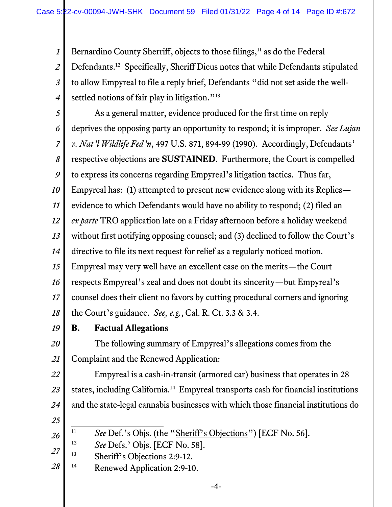*1 2 3 4* Bernardino County Sherriff, objects to those filings,<sup>11</sup> as do the Federal Defendants.12 Specifically, Sheriff Dicus notes that while Defendants stipulated to allow Empyreal to file a reply brief, Defendants "did not set aside the wellsettled notions of fair play in litigation."<sup>13</sup>

*5*

*6*

 As a general matter, evidence produced for the first time on reply deprives the opposing party an opportunity to respond; it is improper. *See Lujan* 

*7 8 v. Nat'l Wildlife Fed'n*, 497 U.S. 871, 894-99 (1990). Accordingly, Defendants' respective objections are **SUSTAINED**. Furthermore, the Court is compelled

*9* to express its concerns regarding Empyreal's litigation tactics. Thus far,

*10* Empyreal has: (1) attempted to present new evidence along with its Replies—

*11* evidence to which Defendants would have no ability to respond; (2) filed an

*12 ex parte* TRO application late on a Friday afternoon before a holiday weekend

*13* without first notifying opposing counsel; and (3) declined to follow the Court's

*14* directive to file its next request for relief as a regularly noticed motion.

*15* Empyreal may very well have an excellent case on the merits—the Court

*16* respects Empyreal's zeal and does not doubt its sincerity—but Empyreal's

*17* counsel does their client no favors by cutting procedural corners and ignoring

*18* the Court's guidance. *See, e.g.*, Cal. R. Ct. 3.3 & 3.4.

*19*

# **B. Factual Allegations**

*20 21* The following summary of Empyreal's allegations comes from the Complaint and the Renewed Application:

*22 23 24* Empyreal is a cash-in-transit (armored car) business that operates in 28 states, including California.<sup>14</sup> Empyreal transports cash for financial institutions and the state-legal cannabis businesses with which those financial institutions do

*25*

*26*

<sup>11</sup> *See* Def.'s Objs. (the "Sheriff's Objections") [ECF No. 56].

<sup>12</sup> *See* Defs.' Objs. [ECF No. 58].

- *27* 13 Sheriff's Objections 2:9-12.
- *28* <sup>14</sup> Renewed Application 2:9-10.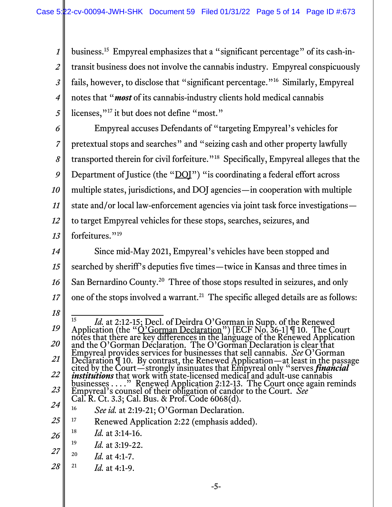*1 2 3 4 5* business.<sup>15</sup> Empyreal emphasizes that a "significant percentage" of its cash-intransit business does not involve the cannabis industry. Empyreal conspicuously fails, however, to disclose that "significant percentage."16 Similarly, Empyreal notes that "*most* of its cannabis-industry clients hold medical cannabis licenses,"<sup>17</sup> it but does not define "most."

*6 7 8 9 10 11 12 13* Empyreal accuses Defendants of "targeting Empyreal's vehicles for pretextual stops and searches" and "seizing cash and other property lawfully transported therein for civil forfeiture."18 Specifically, Empyreal alleges that the Department of Justice (the "DOI") "is coordinating a federal effort across multiple states, jurisdictions, and DOJ agencies—in cooperation with multiple state and/or local law-enforcement agencies via joint task force investigations to target Empyreal vehicles for these stops, searches, seizures, and forfeitures."<sup>19</sup>

*14 15 16 17* Since mid-May 2021, Empyreal's vehicles have been stopped and searched by sheriff's deputies five times—twice in Kansas and three times in San Bernardino County.20 Three of those stops resulted in seizures, and only one of the stops involved a warrant.<sup>21</sup> The specific alleged details are as follows:

*18*

*24* <sup>16</sup> *See id.* at 2:19-21; O'Gorman Declaration.

*<sup>19</sup> 20 21 22 23* <sup>15</sup> *Id.* at 2:12-15; Decl. of Deirdra O'Gorman in Supp. of the Renewed<br>Application (the "O'Gorman Declaration") [ECF No. 36-1]  $\P$  10. The Court<br>notes that there are key differences in the language of the Renewed Applic Empyreal provides services for businesses that sell cannabis. *See* O'Gorman Declaration ¶ 10. By contrast, the Renewed Application—at least in the passage<br>cited by the Court—strongly insinuates that Empyreal only "serves *financial*<br>*institutions* that work with state-licensed medical and adult-us businesses . . . ." Renewed Application 2:12-13. The Court once again reminds Empyreal's counsel of their obligation of candor to the Court. *See* Cal. R. Ct. 3.3; Cal. Bus. & Prof. Code 6068(d).

*<sup>25</sup>* <sup>17</sup> Renewed Application 2:22 (emphasis added).

*<sup>26</sup>* <sup>18</sup> *Id.* at 3:14-16.

<sup>19</sup> *Id.* at 3:19-22.

*<sup>27</sup>* <sup>20</sup> *Id.* at 4:1-7.

*<sup>28</sup>* <sup>21</sup> *Id.* at 4:1-9.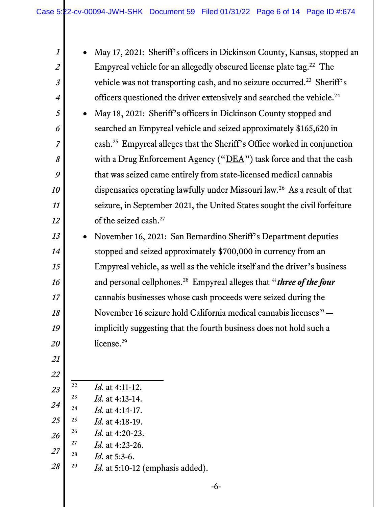| $\boldsymbol{\it 1}$ |           | May 17, 2021: Sheriff's officers in Dickinson County, Kansas, stopped an                |
|----------------------|-----------|-----------------------------------------------------------------------------------------|
| $\overline{2}$       |           | Empyreal vehicle for an allegedly obscured license plate tag. <sup>22</sup> The         |
| $\mathfrak{Z}$       |           | vehicle was not transporting cash, and no seizure occurred. <sup>23</sup> Sheriff's     |
| $\overline{4}$       |           | officers questioned the driver extensively and searched the vehicle. <sup>24</sup>      |
| 5                    | $\bullet$ | May 18, 2021: Sheriff's officers in Dickinson County stopped and                        |
| 6                    |           | searched an Empyreal vehicle and seized approximately \$165,620 in                      |
| $\overline{7}$       |           | cash. <sup>25</sup> Empyreal alleges that the Sheriff's Office worked in conjunction    |
| 8                    |           | with a Drug Enforcement Agency ("DEA") task force and that the cash                     |
| 9                    |           | that was seized came entirely from state-licensed medical cannabis                      |
| 10                   |           | dispensaries operating lawfully under Missouri law. <sup>26</sup> As a result of that   |
| 11                   |           | seizure, in September 2021, the United States sought the civil forfeiture               |
| 12                   |           | of the seized cash. <sup>27</sup>                                                       |
| 13                   | $\bullet$ | November 16, 2021: San Bernardino Sheriff's Department deputies                         |
| 14                   |           | stopped and seized approximately \$700,000 in currency from an                          |
| 15                   |           | Empyreal vehicle, as well as the vehicle itself and the driver's business               |
| 16                   |           | and personal cellphones. <sup>28</sup> Empyreal alleges that " <i>three of the four</i> |
| 17                   |           | cannabis businesses whose cash proceeds were seized during the                          |
| 18                   |           | November 16 seizure hold California medical cannabis licenses" -                        |
| 19                   |           | implicitly suggesting that the fourth business does not hold such a                     |
| 20                   |           | license. <sup>29</sup>                                                                  |
| 21                   |           |                                                                                         |
| 22                   |           |                                                                                         |
| 23                   | 22        | <i>Id.</i> at 4:11-12.                                                                  |
| 24                   | 23        | <i>Id.</i> at 4:13-14.                                                                  |
|                      | 24        | <i>Id.</i> at 4:14-17.                                                                  |
| 25                   | 25<br>26  | <i>Id.</i> at 4:18-19.                                                                  |
| 26                   |           | <i>Id.</i> at 4:20-23.                                                                  |

- *27* <sup>27</sup> *Id.* at 4:23-26.<br><sup>28</sup> *Id.* at 5:3-6
	- *Id.* at 5:3-6.

 $\mathbb{I}$ 

*28* <sup>29</sup> *Id.* at 5:10-12 (emphasis added).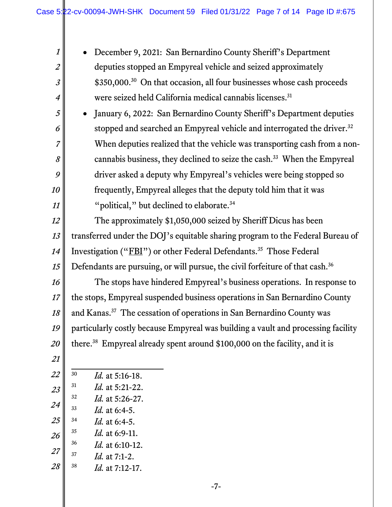December 9, 2021: San Bernardino County Sheriff's Department deputies stopped an Empyreal vehicle and seized approximately \$350,000.<sup>30</sup> On that occasion, all four businesses whose cash proceeds were seized held California medical cannabis licenses.<sup>31</sup>

 January 6, 2022: San Bernardino County Sheriff's Department deputies stopped and searched an Empyreal vehicle and interrogated the driver.<sup>32</sup> When deputies realized that the vehicle was transporting cash from a noncannabis business, they declined to seize the cash.33 When the Empyreal driver asked a deputy why Empyreal's vehicles were being stopped so frequently, Empyreal alleges that the deputy told him that it was "political," but declined to elaborate.<sup>34</sup>

 The approximately \$1,050,000 seized by Sheriff Dicus has been transferred under the DOJ's equitable sharing program to the Federal Bureau of Investigation ("FBI") or other Federal Defendants.<sup>35</sup> Those Federal Defendants are pursuing, or will pursue, the civil forfeiture of that cash.<sup>36</sup>

 The stops have hindered Empyreal's business operations. In response to the stops, Empyreal suspended business operations in San Bernardino County and Kanas.37 The cessation of operations in San Bernardino County was particularly costly because Empyreal was building a vault and processing facility there.38 Empyreal already spent around \$100,000 on the facility, and it is

- 
- *Id.* at 5:21-22. *Id.* at 5:26-27.

*Id.* at 5:16-18.

- *Id.* at 6:4-5.
- *Id.* at 6:4-5.
- *Id.* at 6:9-11.
- *Id.* at 6:10-12.
- *Id.* at 7:1-2.
- *Id.* at 7:12-17.

-7-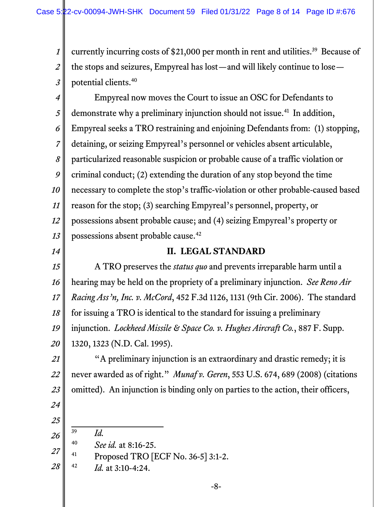*1 2 3* currently incurring costs of \$21,000 per month in rent and utilities.<sup>39</sup> Because of the stops and seizures, Empyreal has lost—and will likely continue to lose potential clients.40

*4 5 6 7 8 9 10 11 12 13* Empyreal now moves the Court to issue an OSC for Defendants to demonstrate why a preliminary injunction should not issue.<sup>41</sup> In addition, Empyreal seeks a TRO restraining and enjoining Defendants from: (1) stopping, detaining, or seizing Empyreal's personnel or vehicles absent articulable, particularized reasonable suspicion or probable cause of a traffic violation or criminal conduct; (2) extending the duration of any stop beyond the time necessary to complete the stop's traffic-violation or other probable-caused based reason for the stop; (3) searching Empyreal's personnel, property, or possessions absent probable cause; and (4) seizing Empyreal's property or possessions absent probable cause.42

*14*

#### **II. LEGAL STANDARD**

*15 16 17 18 19 20* A TRO preserves the *status quo* and prevents irreparable harm until a hearing may be held on the propriety of a preliminary injunction. *See Reno Air Racing Ass'n, Inc. v. McCord*, 452 F.3d 1126, 1131 (9th Cir. 2006). The standard for issuing a TRO is identical to the standard for issuing a preliminary injunction. *Lockheed Missile & Space Co. v. Hughes Aircraft Co.*, 887 F. Supp. 1320, 1323 (N.D. Cal. 1995).

*21 22 23* "A preliminary injunction is an extraordinary and drastic remedy; it is never awarded as of right." *Munaf v. Geren*, 553 U.S. 674, 689 (2008) (citations omitted). An injunction is binding only on parties to the action, their officers,

- *24 25*
	- <sup>39</sup> *Id.*
- *26* <sup>40</sup> *See id.* at 8:16-25.
- *27*  $^{41}$  Proposed TRO [ECF No. 36-5] 3:1-2.
- *28* <sup>42</sup> *Id.* at 3:10-4:24.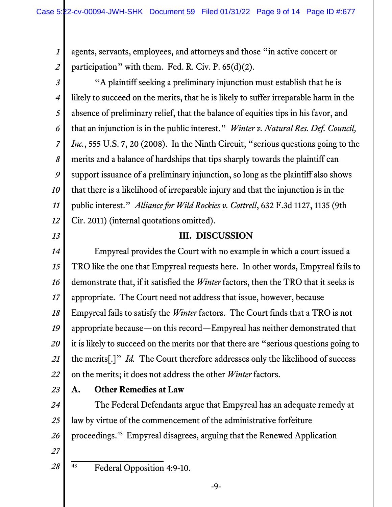*1 2* agents, servants, employees, and attorneys and those "in active concert or participation" with them. Fed. R. Civ. P. 65(d)(2).

*3 4 5 6 7 8 9 10 11 12* "A plaintiff seeking a preliminary injunction must establish that he is likely to succeed on the merits, that he is likely to suffer irreparable harm in the absence of preliminary relief, that the balance of equities tips in his favor, and that an injunction is in the public interest." *Winter v. Natural Res. Def. Council, Inc.*, 555 U.S. 7, 20 (2008). In the Ninth Circuit, "serious questions going to the merits and a balance of hardships that tips sharply towards the plaintiff can support issuance of a preliminary injunction, so long as the plaintiff also shows that there is a likelihood of irreparable injury and that the injunction is in the public interest." *Alliance for Wild Rockies v. Cottrell*, 632 F.3d 1127, 1135 (9th Cir. 2011) (internal quotations omitted).

*13*

#### **III. DISCUSSION**

*14 15 16 17 18 19 20 21 22* Empyreal provides the Court with no example in which a court issued a TRO like the one that Empyreal requests here. In other words, Empyreal fails to demonstrate that, if it satisfied the *Winter* factors, then the TRO that it seeks is appropriate. The Court need not address that issue, however, because Empyreal fails to satisfy the *Winter* factors. The Court finds that a TRO is not appropriate because—on this record—Empyreal has neither demonstrated that it is likely to succeed on the merits nor that there are "serious questions going to the merits[.]" *Id.* The Court therefore addresses only the likelihood of success on the merits; it does not address the other *Winter* factors.

*23*

### **A. Other Remedies at Law**

*24 25 26* The Federal Defendants argue that Empyreal has an adequate remedy at law by virtue of the commencement of the administrative forfeiture proceedings.43 Empyreal disagrees, arguing that the Renewed Application

*27 28*

43 Federal Opposition 4:9-10.

-9-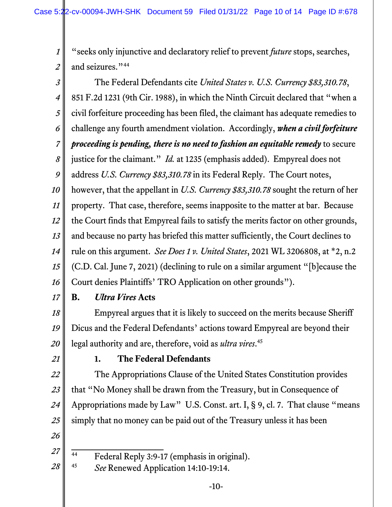*1 2* "seeks only injunctive and declaratory relief to prevent *future* stops, searches, and seizures."<sup>44</sup>

*3 4 5 6 7 8 9 10 11 12 13 14 15 16* The Federal Defendants cite *United States v. U.S. Currency \$83,310.78*, 851 F.2d 1231 (9th Cir. 1988), in which the Ninth Circuit declared that "when a civil forfeiture proceeding has been filed, the claimant has adequate remedies to challenge any fourth amendment violation. Accordingly, *when a civil forfeiture proceeding is pending, there is no need to fashion an equitable remedy* to secure justice for the claimant." *Id.* at 1235 (emphasis added). Empyreal does not address *U.S. Currency \$83,310.78* in its Federal Reply. The Court notes, however, that the appellant in *U.S. Currency \$83,310.78* sought the return of her property. That case, therefore, seems inapposite to the matter at bar. Because the Court finds that Empyreal fails to satisfy the merits factor on other grounds, and because no party has briefed this matter sufficiently, the Court declines to rule on this argument. *See Does 1 v. United States*, 2021 WL 3206808, at \*2, n.2 (C.D. Cal. June 7, 2021) (declining to rule on a similar argument "[b]ecause the Court denies Plaintiffs' TRO Application on other grounds").

*17*

## **B.** *Ultra Vires* **Acts**

*18 19 20* Empyreal argues that it is likely to succeed on the merits because Sheriff Dicus and the Federal Defendants' actions toward Empyreal are beyond their legal authority and are, therefore, void as *ultra vires*. 45

*21*

*27*

## **1. The Federal Defendants**

*22 23 24 25 26* The Appropriations Clause of the United States Constitution provides that "No Money shall be drawn from the Treasury, but in Consequence of Appropriations made by Law" U.S. Const. art. I, § 9, cl. 7. That clause "means simply that no money can be paid out of the Treasury unless it has been

- $\frac{44}{44}$  Federal Reply 3:9-17 (emphasis in original).
- *28* <sup>45</sup> *See* Renewed Application 14:10-19:14.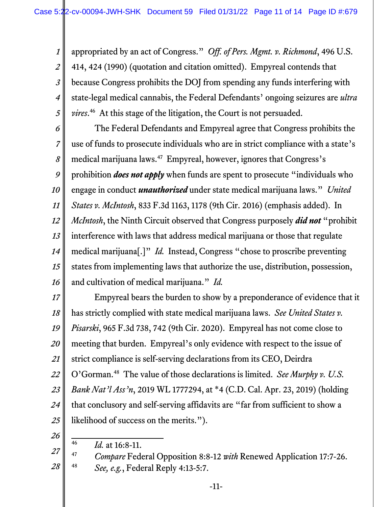*1 2 3 4 5* appropriated by an act of Congress." *Off. of Pers. Mgmt. v. Richmond*, 496 U.S. 414, 424 (1990) (quotation and citation omitted). Empyreal contends that because Congress prohibits the DOJ from spending any funds interfering with state-legal medical cannabis, the Federal Defendants' ongoing seizures are *ultra vires*. 46 At this stage of the litigation, the Court is not persuaded.

*6 7 8 9 10 11 12 13 14 15 16* The Federal Defendants and Empyreal agree that Congress prohibits the use of funds to prosecute individuals who are in strict compliance with a state's medical marijuana laws.<sup>47</sup> Empyreal, however, ignores that Congress's prohibition *does not apply* when funds are spent to prosecute "individuals who engage in conduct *unauthorized* under state medical marijuana laws." *United States v. McIntosh*, 833 F.3d 1163, 1178 (9th Cir. 2016) (emphasis added). In *McIntosh*, the Ninth Circuit observed that Congress purposely *did not* "prohibit interference with laws that address medical marijuana or those that regulate medical marijuana[.]" *Id.* Instead, Congress "chose to proscribe preventing states from implementing laws that authorize the use, distribution, possession, and cultivation of medical marijuana." *Id.*

*17 18 19 20 21 22 23 24 25* Empyreal bears the burden to show by a preponderance of evidence that it has strictly complied with state medical marijuana laws. *See United States v. Pisarski*, 965 F.3d 738, 742 (9th Cir. 2020). Empyreal has not come close to meeting that burden. Empyreal's only evidence with respect to the issue of strict compliance is self-serving declarations from its CEO, Deirdra O'Gorman.48 The value of those declarations is limited. *See Murphy v. U.S. Bank Nat'l Ass'n*, 2019 WL 1777294, at \*4 (C.D. Cal. Apr. 23, 2019) (holding that conclusory and self-serving affidavits are "far from sufficient to show a likelihood of success on the merits.").

*26*

<sup>46</sup> *Id.* at 16:8-11.

*<sup>27</sup> 28* <sup>47</sup> *Compare* Federal Opposition 8:8-12 *with* Renewed Application 17:7-26. <sup>48</sup> *See, e.g.*, Federal Reply 4:13-5:7.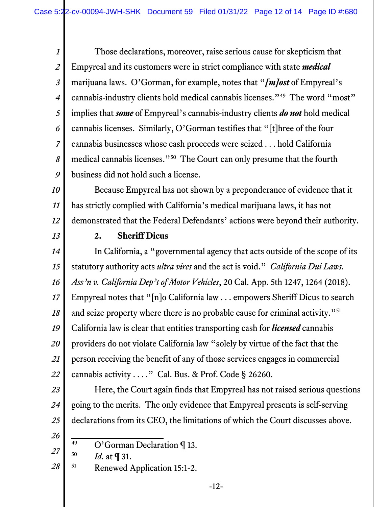*1 2 3 4 5 6 7 8 9* Those declarations, moreover, raise serious cause for skepticism that Empyreal and its customers were in strict compliance with state *medical* marijuana laws. O'Gorman, for example, notes that "*[m]ost* of Empyreal's cannabis-industry clients hold medical cannabis licenses."49 The word "most" implies that *some* of Empyreal's cannabis-industry clients *do not* hold medical cannabis licenses. Similarly, O'Gorman testifies that "[t]hree of the four cannabis businesses whose cash proceeds were seized . . . hold California medical cannabis licenses."50 The Court can only presume that the fourth business did not hold such a license.

*10 11 12* Because Empyreal has not shown by a preponderance of evidence that it has strictly complied with California's medical marijuana laws, it has not demonstrated that the Federal Defendants' actions were beyond their authority.

*13*

#### **2. Sheriff Dicus**

*14 15 16 17 18 19 20 21 22* In California, a "governmental agency that acts outside of the scope of its statutory authority acts *ultra vires* and the act is void." *California Dui Laws. Ass'n v. California Dep't of Motor Vehicles*, 20 Cal. App. 5th 1247, 1264 (2018). Empyreal notes that "[n]o California law . . . empowers Sheriff Dicus to search and seize property where there is no probable cause for criminal activity."<sup>51</sup> California law is clear that entities transporting cash for *licensed* cannabis providers do not violate California law "solely by virtue of the fact that the person receiving the benefit of any of those services engages in commercial cannabis activity . . . ." Cal. Bus. & Prof. Code § 26260.

*23 24 25* Here, the Court again finds that Empyreal has not raised serious questions going to the merits. The only evidence that Empyreal presents is self-serving declarations from its CEO, the limitations of which the Court discusses above.

*26*

*27*

*28* 51 Renewed Application 15:1-2.

<sup>49</sup> O'Gorman Declaration ¶ 13.

<sup>50</sup> *Id.* at ¶ 31.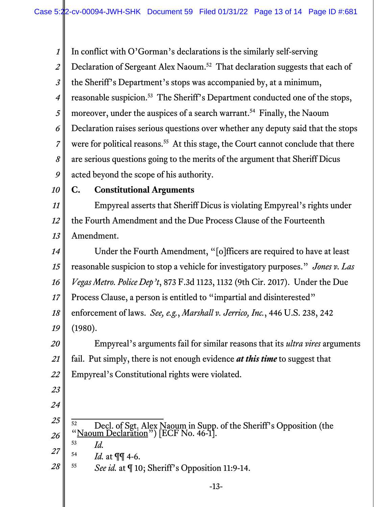*1 2 3 4 5 6 7 8 9 10 11 12 13 14 15 16 17 18 19 20 21 22 23 24 25 26 27 28* In conflict with O'Gorman's declarations is the similarly self-serving Declaration of Sergeant Alex Naoum.<sup>52</sup> That declaration suggests that each of the Sheriff's Department's stops was accompanied by, at a minimum, reasonable suspicion.<sup>53</sup> The Sheriff's Department conducted one of the stops, moreover, under the auspices of a search warrant.<sup>54</sup> Finally, the Naoum Declaration raises serious questions over whether any deputy said that the stops were for political reasons.<sup>55</sup> At this stage, the Court cannot conclude that there are serious questions going to the merits of the argument that Sheriff Dicus acted beyond the scope of his authority. **C. Constitutional Arguments**  Empyreal asserts that Sheriff Dicus is violating Empyreal's rights under the Fourth Amendment and the Due Process Clause of the Fourteenth Amendment. Under the Fourth Amendment, "[o]fficers are required to have at least reasonable suspicion to stop a vehicle for investigatory purposes." *Jones v. Las Vegas Metro. Police Dep't*, 873 F.3d 1123, 1132 (9th Cir. 2017). Under the Due Process Clause, a person is entitled to "impartial and disinterested" enforcement of laws. *See, e.g.*, *Marshall v. Jerrico, Inc.*, 446 U.S. 238, 242 (1980). Empyreal's arguments fail for similar reasons that its *ultra vires* arguments fail. Put simply, there is not enough evidence *at this time* to suggest that Empyreal's Constitutional rights were violated. <sup>52</sup> Decl. of Sgt. Alex Naoum in Supp. of the Sheriff's Opposition (the "Naoum Declaration") [ECF No. 46-1]. <sup>53</sup> *Id.* <sup>54</sup> *Id.* at ¶¶ 4-6. <sup>55</sup> *See id.* at ¶ 10; Sheriff's Opposition 11:9-14.